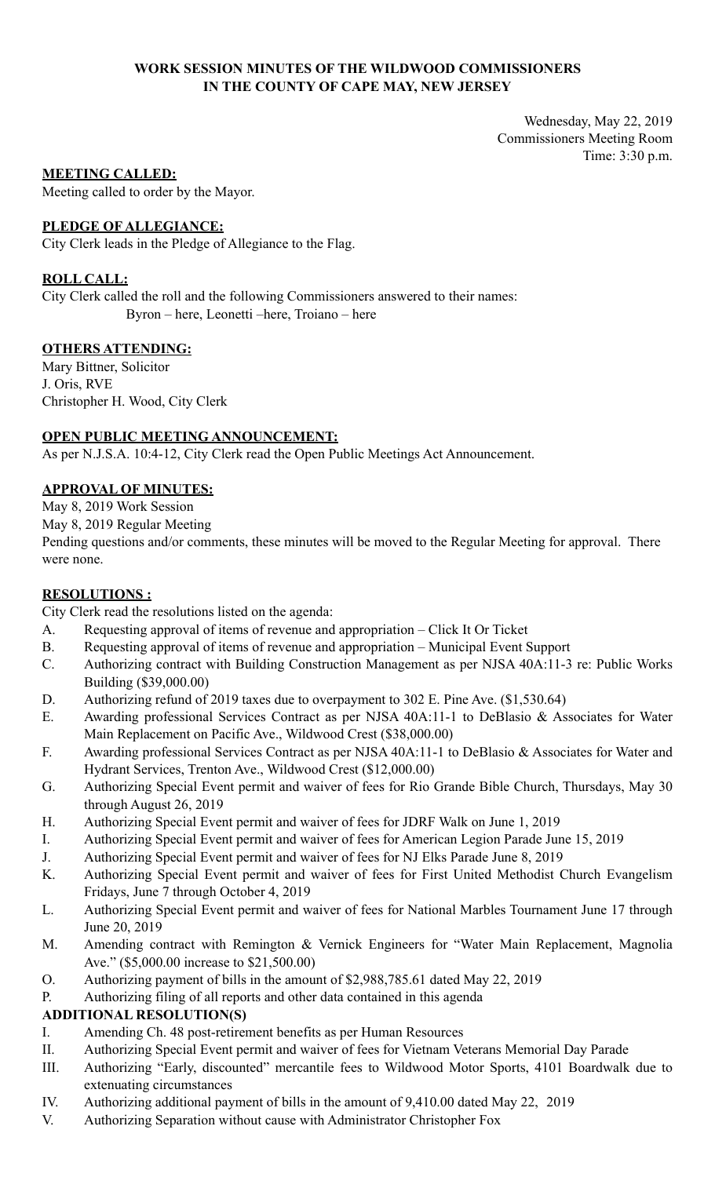### **WORK SESSION MINUTES OF THE WILDWOOD COMMISSIONERS IN THE COUNTY OF CAPE MAY, NEW JERSEY**

Wednesday, May 22, 2019 Commissioners Meeting Room Time: 3:30 p.m.

### **MEETING CALLED:**

Meeting called to order by the Mayor.

### **PLEDGE OF ALLEGIANCE:**

City Clerk leads in the Pledge of Allegiance to the Flag.

### **ROLL CALL:**

City Clerk called the roll and the following Commissioners answered to their names: Byron – here, Leonetti –here, Troiano – here

### **OTHERS ATTENDING:**

Mary Bittner, Solicitor J. Oris, RVE Christopher H. Wood, City Clerk

### **OPEN PUBLIC MEETING ANNOUNCEMENT:**

As per N.J.S.A. 10:4-12, City Clerk read the Open Public Meetings Act Announcement.

### **APPROVAL OF MINUTES:**

May 8, 2019 Work Session

May 8, 2019 Regular Meeting

Pending questions and/or comments, these minutes will be moved to the Regular Meeting for approval. There were none.

### **RESOLUTIONS :**

City Clerk read the resolutions listed on the agenda:

- A. Requesting approval of items of revenue and appropriation Click It Or Ticket
- B. Requesting approval of items of revenue and appropriation Municipal Event Support
- C. Authorizing contract with Building Construction Management as per NJSA 40A:11-3 re: Public Works Building (\$39,000.00)
- D. Authorizing refund of 2019 taxes due to overpayment to 302 E. Pine Ave. (\$1,530.64)
- E. Awarding professional Services Contract as per NJSA 40A:11-1 to DeBlasio & Associates for Water Main Replacement on Pacific Ave., Wildwood Crest (\$38,000.00)
- F. Awarding professional Services Contract as per NJSA 40A:11-1 to DeBlasio & Associates for Water and Hydrant Services, Trenton Ave., Wildwood Crest (\$12,000.00)
- G. Authorizing Special Event permit and waiver of fees for Rio Grande Bible Church, Thursdays, May 30 through August 26, 2019
- H. Authorizing Special Event permit and waiver of fees for JDRF Walk on June 1, 2019
- I. Authorizing Special Event permit and waiver of fees for American Legion Parade June 15, 2019
- J. Authorizing Special Event permit and waiver of fees for NJ Elks Parade June 8, 2019
- K. Authorizing Special Event permit and waiver of fees for First United Methodist Church Evangelism Fridays, June 7 through October 4, 2019
- L. Authorizing Special Event permit and waiver of fees for National Marbles Tournament June 17 through June 20, 2019
- M. Amending contract with Remington & Vernick Engineers for "Water Main Replacement, Magnolia Ave." (\$5,000.00 increase to \$21,500.00)
- O. Authorizing payment of bills in the amount of \$2,988,785.61 dated May 22, 2019
- P. Authorizing filing of all reports and other data contained in this agenda

## **ADDITIONAL RESOLUTION(S)**

- I. Amending Ch. 48 post-retirement benefits as per Human Resources
- II. Authorizing Special Event permit and waiver of fees for Vietnam Veterans Memorial Day Parade
- III. Authorizing "Early, discounted" mercantile fees to Wildwood Motor Sports, 4101 Boardwalk due to extenuating circumstances
- IV. Authorizing additional payment of bills in the amount of 9,410.00 dated May 22, 2019
- V. Authorizing Separation without cause with Administrator Christopher Fox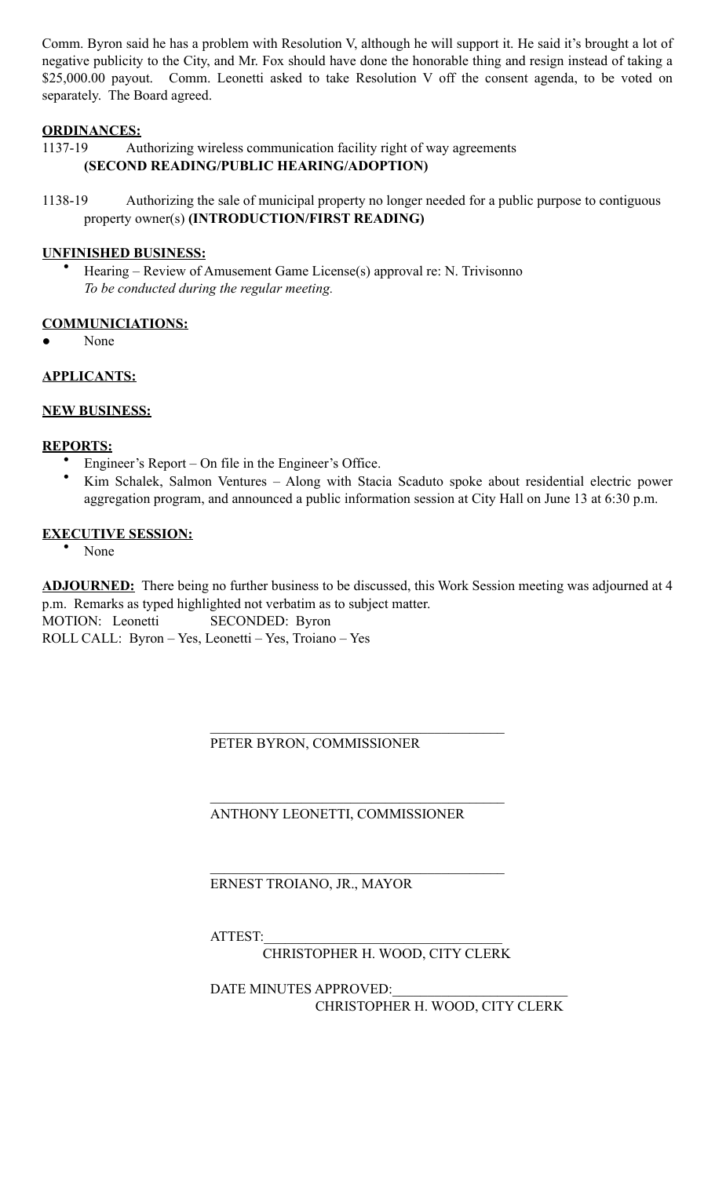Comm. Byron said he has a problem with Resolution V, although he will support it. He said it's brought a lot of negative publicity to the City, and Mr. Fox should have done the honorable thing and resign instead of taking a \$25,000.00 payout. Comm. Leonetti asked to take Resolution V off the consent agenda, to be voted on separately. The Board agreed.

# **ORDINANCES:**

1137-19 Authorizing wireless communication facility right of way agreements **(SECOND READING/PUBLIC HEARING/ADOPTION)** 

1138-19 Authorizing the sale of municipal property no longer needed for a public purpose to contiguous property owner(s) **(INTRODUCTION/FIRST READING)** 

## **UNFINISHED BUSINESS:**

• Hearing – Review of Amusement Game License(s) approval re: N. Trivisonno *To be conducted during the regular meeting.* 

# **COMMUNICIATIONS:**

None

## **APPLICANTS:**

### **NEW BUSINESS:**

### **REPORTS:**

- Engineer's Report On file in the Engineer's Office.
- Kim Schalek, Salmon Ventures Along with Stacia Scaduto spoke about residential electric power aggregation program, and announced a public information session at City Hall on June 13 at 6:30 p.m.

### **EXECUTIVE SESSION:**

• None

**ADJOURNED:** There being no further business to be discussed, this Work Session meeting was adjourned at 4 p.m. Remarks as typed highlighted not verbatim as to subject matter. MOTION: Leonetti SECONDED: Byron ROLL CALL: Byron – Yes, Leonetti – Yes, Troiano – Yes

PETER BYRON, COMMISSIONER

 $\mathcal{L}_\mathcal{L} = \mathcal{L}_\mathcal{L} = \mathcal{L}_\mathcal{L} = \mathcal{L}_\mathcal{L} = \mathcal{L}_\mathcal{L} = \mathcal{L}_\mathcal{L} = \mathcal{L}_\mathcal{L} = \mathcal{L}_\mathcal{L} = \mathcal{L}_\mathcal{L} = \mathcal{L}_\mathcal{L} = \mathcal{L}_\mathcal{L} = \mathcal{L}_\mathcal{L} = \mathcal{L}_\mathcal{L} = \mathcal{L}_\mathcal{L} = \mathcal{L}_\mathcal{L} = \mathcal{L}_\mathcal{L} = \mathcal{L}_\mathcal{L}$ 

 $\mathcal{L}_\mathcal{L} = \mathcal{L}_\mathcal{L} = \mathcal{L}_\mathcal{L} = \mathcal{L}_\mathcal{L} = \mathcal{L}_\mathcal{L} = \mathcal{L}_\mathcal{L} = \mathcal{L}_\mathcal{L} = \mathcal{L}_\mathcal{L} = \mathcal{L}_\mathcal{L} = \mathcal{L}_\mathcal{L} = \mathcal{L}_\mathcal{L} = \mathcal{L}_\mathcal{L} = \mathcal{L}_\mathcal{L} = \mathcal{L}_\mathcal{L} = \mathcal{L}_\mathcal{L} = \mathcal{L}_\mathcal{L} = \mathcal{L}_\mathcal{L}$ 

 $\mathcal{L}_\mathcal{L} = \mathcal{L}_\mathcal{L} = \mathcal{L}_\mathcal{L} = \mathcal{L}_\mathcal{L} = \mathcal{L}_\mathcal{L} = \mathcal{L}_\mathcal{L} = \mathcal{L}_\mathcal{L} = \mathcal{L}_\mathcal{L} = \mathcal{L}_\mathcal{L} = \mathcal{L}_\mathcal{L} = \mathcal{L}_\mathcal{L} = \mathcal{L}_\mathcal{L} = \mathcal{L}_\mathcal{L} = \mathcal{L}_\mathcal{L} = \mathcal{L}_\mathcal{L} = \mathcal{L}_\mathcal{L} = \mathcal{L}_\mathcal{L}$ 

ANTHONY LEONETTI, COMMISSIONER

ERNEST TROIANO, JR., MAYOR

ATTEST:

CHRISTOPHER H. WOOD, CITY CLERK

DATE MINUTES APPROVED: CHRISTOPHER H. WOOD, CITY CLERK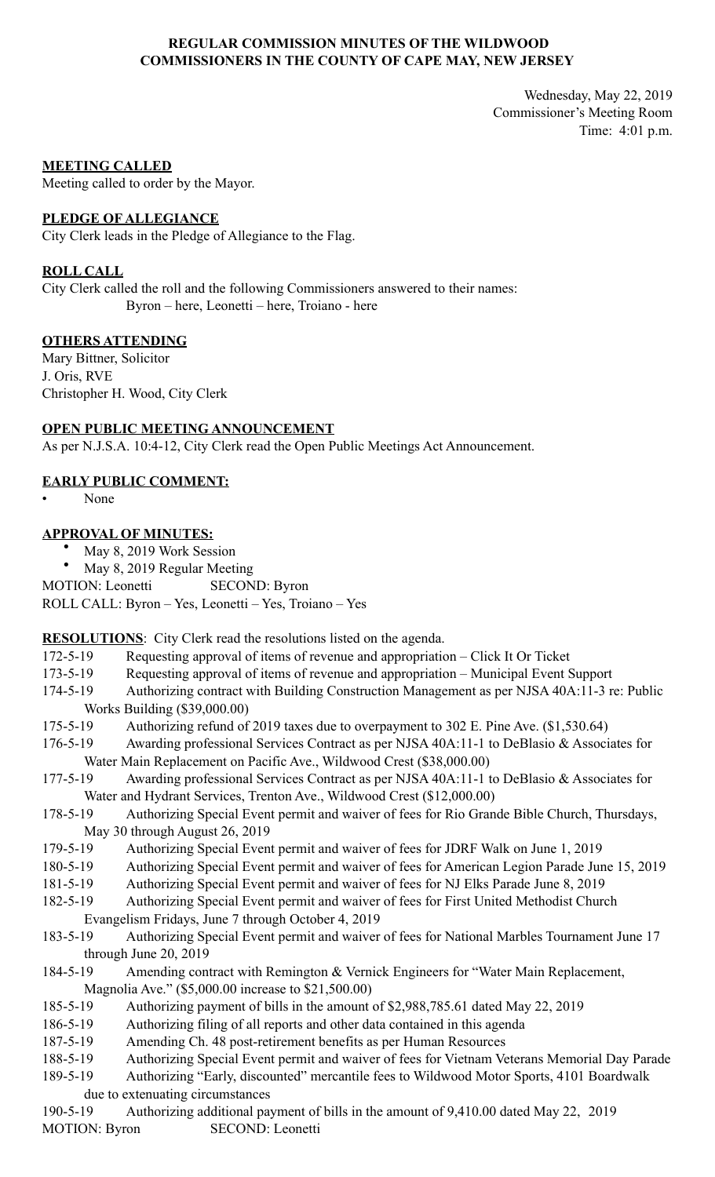### **REGULAR COMMISSION MINUTES OF THE WILDWOOD COMMISSIONERS IN THE COUNTY OF CAPE MAY, NEW JERSEY**

Wednesday, May 22, 2019 Commissioner's Meeting Room Time: 4:01 p.m.

#### **MEETING CALLED**

Meeting called to order by the Mayor.

#### **PLEDGE OF ALLEGIANCE**

City Clerk leads in the Pledge of Allegiance to the Flag.

### **ROLL CALL**

City Clerk called the roll and the following Commissioners answered to their names: Byron – here, Leonetti – here, Troiano - here

### **OTHERS ATTENDING**

Mary Bittner, Solicitor J. Oris, RVE Christopher H. Wood, City Clerk

# **OPEN PUBLIC MEETING ANNOUNCEMENT**

As per N.J.S.A. 10:4-12, City Clerk read the Open Public Meetings Act Announcement.

### **EARLY PUBLIC COMMENT:**

• None

### **APPROVAL OF MINUTES:**

- May 8, 2019 Work Session
- May 8, 2019 Regular Meeting

MOTION: Leonetti SECOND: Byron

ROLL CALL: Byron – Yes, Leonetti – Yes, Troiano – Yes

**RESOLUTIONS**: City Clerk read the resolutions listed on the agenda.

- 172-5-19 Requesting approval of items of revenue and appropriation Click It Or Ticket
- 173-5-19 Requesting approval of items of revenue and appropriation Municipal Event Support
- 174-5-19 Authorizing contract with Building Construction Management as per NJSA 40A:11-3 re: Public Works Building (\$39,000.00)
- 175-5-19 Authorizing refund of 2019 taxes due to overpayment to 302 E. Pine Ave. (\$1,530.64)
- 176-5-19 Awarding professional Services Contract as per NJSA 40A:11-1 to DeBlasio & Associates for Water Main Replacement on Pacific Ave., Wildwood Crest (\$38,000.00)
- 177-5-19 Awarding professional Services Contract as per NJSA 40A:11-1 to DeBlasio & Associates for Water and Hydrant Services, Trenton Ave., Wildwood Crest (\$12,000.00)
- 178-5-19 Authorizing Special Event permit and waiver of fees for Rio Grande Bible Church, Thursdays, May 30 through August 26, 2019
- 179-5-19 Authorizing Special Event permit and waiver of fees for JDRF Walk on June 1, 2019
- 180-5-19 Authorizing Special Event permit and waiver of fees for American Legion Parade June 15, 2019
- 181-5-19 Authorizing Special Event permit and waiver of fees for NJ Elks Parade June 8, 2019
- 182-5-19 Authorizing Special Event permit and waiver of fees for First United Methodist Church Evangelism Fridays, June 7 through October 4, 2019
- 183-5-19 Authorizing Special Event permit and waiver of fees for National Marbles Tournament June 17 through June 20, 2019
- 184-5-19 Amending contract with Remington & Vernick Engineers for "Water Main Replacement, Magnolia Ave." (\$5,000.00 increase to \$21,500.00)
- 185-5-19 Authorizing payment of bills in the amount of \$2,988,785.61 dated May 22, 2019
- 186-5-19 Authorizing filing of all reports and other data contained in this agenda
- 187-5-19 Amending Ch. 48 post-retirement benefits as per Human Resources
- 188-5-19 Authorizing Special Event permit and waiver of fees for Vietnam Veterans Memorial Day Parade

189-5-19 Authorizing "Early, discounted" mercantile fees to Wildwood Motor Sports, 4101 Boardwalk due to extenuating circumstances

190-5-19 Authorizing additional payment of bills in the amount of 9,410.00 dated May 22, 2019 MOTION: Byron SECOND: Leonetti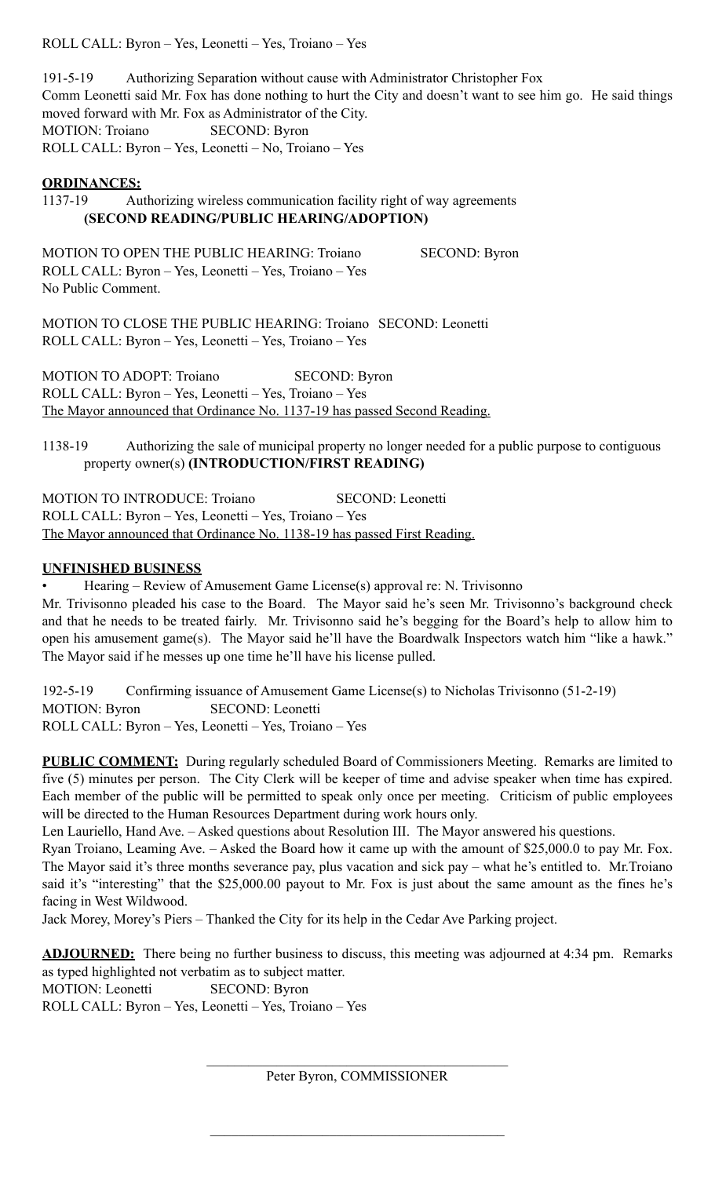ROLL CALL: Byron – Yes, Leonetti – Yes, Troiano – Yes

191-5-19 Authorizing Separation without cause with Administrator Christopher Fox Comm Leonetti said Mr. Fox has done nothing to hurt the City and doesn't want to see him go. He said things moved forward with Mr. Fox as Administrator of the City. MOTION: Troiano SECOND: Byron ROLL CALL: Byron – Yes, Leonetti – No, Troiano – Yes

### **ORDINANCES:**

1137-19 Authorizing wireless communication facility right of way agreements **(SECOND READING/PUBLIC HEARING/ADOPTION)** 

MOTION TO OPEN THE PUBLIC HEARING: Troiano SECOND: Byron ROLL CALL: Byron – Yes, Leonetti – Yes, Troiano – Yes No Public Comment.

MOTION TO CLOSE THE PUBLIC HEARING: Troiano SECOND: Leonetti ROLL CALL: Byron – Yes, Leonetti – Yes, Troiano – Yes

MOTION TO ADOPT: Troiano SECOND: Byron ROLL CALL: Byron – Yes, Leonetti – Yes, Troiano – Yes The Mayor announced that Ordinance No. 1137-19 has passed Second Reading.

1138-19 Authorizing the sale of municipal property no longer needed for a public purpose to contiguous property owner(s) **(INTRODUCTION/FIRST READING)** 

MOTION TO INTRODUCE: Troiano SECOND: Leonetti ROLL CALL: Byron – Yes, Leonetti – Yes, Troiano – Yes The Mayor announced that Ordinance No. 1138-19 has passed First Reading.

## **UNFINISHED BUSINESS**

• Hearing – Review of Amusement Game License(s) approval re: N. Trivisonno Mr. Trivisonno pleaded his case to the Board. The Mayor said he's seen Mr. Trivisonno's background check and that he needs to be treated fairly. Mr. Trivisonno said he's begging for the Board's help to allow him to open his amusement game(s). The Mayor said he'll have the Boardwalk Inspectors watch him "like a hawk." The Mayor said if he messes up one time he'll have his license pulled.

192-5-19 Confirming issuance of Amusement Game License(s) to Nicholas Trivisonno (51-2-19) MOTION: Byron SECOND: Leonetti ROLL CALL: Byron – Yes, Leonetti – Yes, Troiano – Yes

**PUBLIC COMMENT:** During regularly scheduled Board of Commissioners Meeting. Remarks are limited to five (5) minutes per person. The City Clerk will be keeper of time and advise speaker when time has expired. Each member of the public will be permitted to speak only once per meeting. Criticism of public employees will be directed to the Human Resources Department during work hours only.

Len Lauriello, Hand Ave. – Asked questions about Resolution III. The Mayor answered his questions.

Ryan Troiano, Leaming Ave. – Asked the Board how it came up with the amount of \$25,000.0 to pay Mr. Fox. The Mayor said it's three months severance pay, plus vacation and sick pay – what he's entitled to. Mr.Troiano said it's "interesting" that the \$25,000.00 payout to Mr. Fox is just about the same amount as the fines he's facing in West Wildwood.

Jack Morey, Morey's Piers – Thanked the City for its help in the Cedar Ave Parking project.

**ADJOURNED:** There being no further business to discuss, this meeting was adjourned at 4:34 pm. Remarks as typed highlighted not verbatim as to subject matter. MOTION: Leonetti SECOND: Byron ROLL CALL: Byron – Yes, Leonetti – Yes, Troiano – Yes

> $\mathcal{L}_\text{max}$  , and the set of the set of the set of the set of the set of the set of the set of the set of the set of the set of the set of the set of the set of the set of the set of the set of the set of the set of the Peter Byron, COMMISSIONER

 $\mathcal{L}_\mathcal{L} = \mathcal{L}_\mathcal{L} = \mathcal{L}_\mathcal{L} = \mathcal{L}_\mathcal{L} = \mathcal{L}_\mathcal{L} = \mathcal{L}_\mathcal{L} = \mathcal{L}_\mathcal{L} = \mathcal{L}_\mathcal{L} = \mathcal{L}_\mathcal{L} = \mathcal{L}_\mathcal{L} = \mathcal{L}_\mathcal{L} = \mathcal{L}_\mathcal{L} = \mathcal{L}_\mathcal{L} = \mathcal{L}_\mathcal{L} = \mathcal{L}_\mathcal{L} = \mathcal{L}_\mathcal{L} = \mathcal{L}_\mathcal{L}$